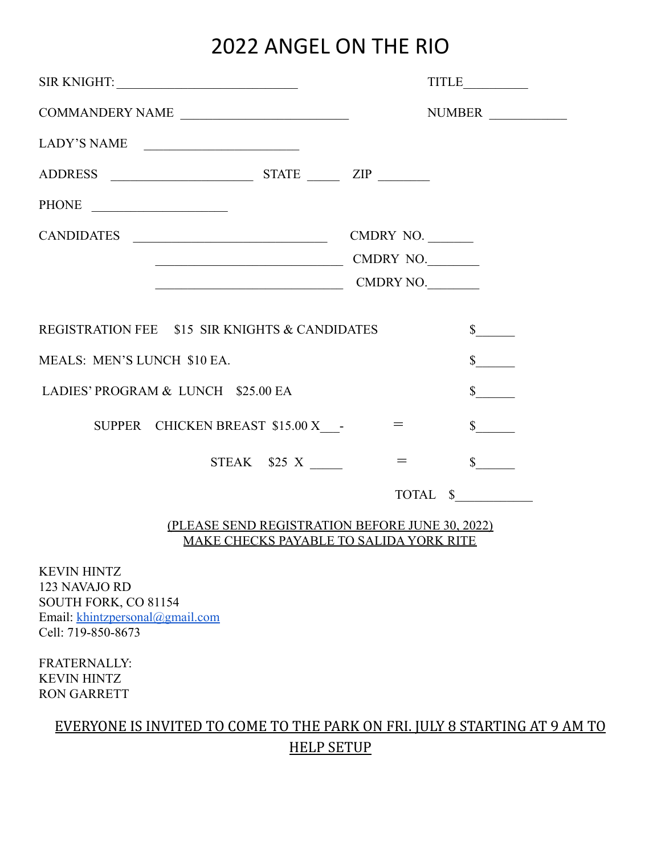## 2022 ANGEL ON THE RIO

| SIR KNIGHT: University of the SIR KNIGHT:                        |                                                               |
|------------------------------------------------------------------|---------------------------------------------------------------|
| COMMANDERY NAME                                                  | NUMBER                                                        |
| LADY'S NAME                                                      |                                                               |
|                                                                  |                                                               |
| PHONE                                                            |                                                               |
| CANDIDATES                                                       | CMDRY NO.                                                     |
| CMDRY NO.                                                        |                                                               |
| $\begin{tabular}{c} \textbf{COMDRY NO.} \\ \hline \end{tabular}$ |                                                               |
| REGISTRATION FEE \$15 SIR KNIGHTS & CANDIDATES                   |                                                               |
| MEALS: MEN'S LUNCH \$10 EA.                                      |                                                               |
| LADIES' PROGRAM & LUNCH \$25.00 EA                               | $\mathbb{S}$                                                  |
| SUPPER CHICKEN BREAST \$15.00 X -                                | $\mathbb{S}$                                                  |
| STEAK \$25 X                                                     | $\mathbb{S}$<br>$=$ $-$                                       |
|                                                                  | $\begin{tabular}{cc} TOTAL & $\$\underline{\$} \end{tabular}$ |

#### (PLEASE SEND REGISTRATION BEFORE JUNE 30, 2022) MAKE CHECKS PAYABLE TO SALIDA YORK RITE

KEVIN HINTZ 123 NAVAJO RD SOUTH FORK, CO 81154 Email: [khintzpersonal@gmail.com](mailto:khintzpersonal@gmail.com) Cell: 719-850-8673

FRATERNALLY: KEVIN HINTZ RON GARRETT

## EVERYONE IS INVITED TO COME TO THE PARK ON FRI. JULY 8 STARTING AT 9 AM TO HELP SETUP